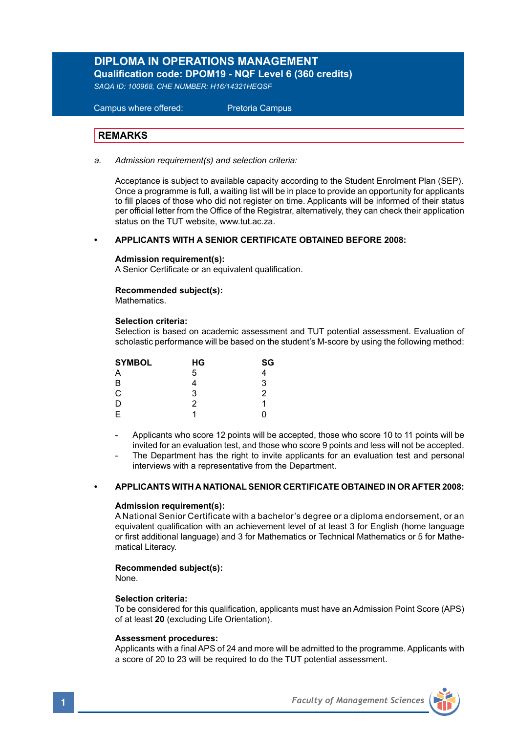## **DIPLOMA IN OPERATIONS MANAGEMENT Qualification code: DPOM19 - NQF Level 6 (360 credits)**

*SAQA ID: 100968, CHE NUMBER: H16/14321HEQSF* 

# Campus where offered: Pretoria Campus

## **REMARKS**

#### *a. Admission requirement(s) and selection criteria:*

Acceptance is subject to available capacity according to the Student Enrolment Plan (SEP). Once a programme is full, a waiting list will be in place to provide an opportunity for applicants to fill places of those who did not register on time. Applicants will be informed of their status per official letter from the Office of the Registrar, alternatively, they can check their application status on the TUT website, www.tut.ac.za.

### **• APPLICANTS WITH A SENIOR CERTIFICATE OBTAINED BEFORE 2008:**

### **Admission requirement(s):**

A Senior Certificate or an equivalent qualification.

#### **Recommended subject(s):** Mathematics.

## **Selection criteria:**

Selection is based on academic assessment and TUT potential assessment. Evaluation of scholastic performance will be based on the student's M-score by using the following method:

| <b>SYMBOL</b> | НG | SG     |  |
|---------------|----|--------|--|
| Α             | 5  |        |  |
| в             |    | 3      |  |
| C             | 3  | 2<br>n |  |
| D             | 2  |        |  |
| E             |    |        |  |

Applicants who score 12 points will be accepted, those who score 10 to 11 points will be invited for an evaluation test, and those who score 9 points and less will not be accepted.

The Department has the right to invite applicants for an evaluation test and personal interviews with a representative from the Department.

## **• APPLICANTS WITH A NATIONAL SENIOR CERTIFICATE OBTAINED IN OR AFTER 2008:**

#### **Admission requirement(s):**

A National Senior Certificate with a bachelor's degree or a diploma endorsement, or an equivalent qualification with an achievement level of at least 3 for English (home language or first additional language) and 3 for Mathematics or Technical Mathematics or 5 for Mathematical Literacy.

### **Recommended subject(s):**

None.

### **Selection criteria:**

To be considered for this qualification, applicants must have an Admission Point Score (APS) of at least **20** (excluding Life Orientation).

#### **Assessment procedures:**

Applicants with a final APS of 24 and more will be admitted to the programme. Applicants with a score of 20 to 23 will be required to do the TUT potential assessment.

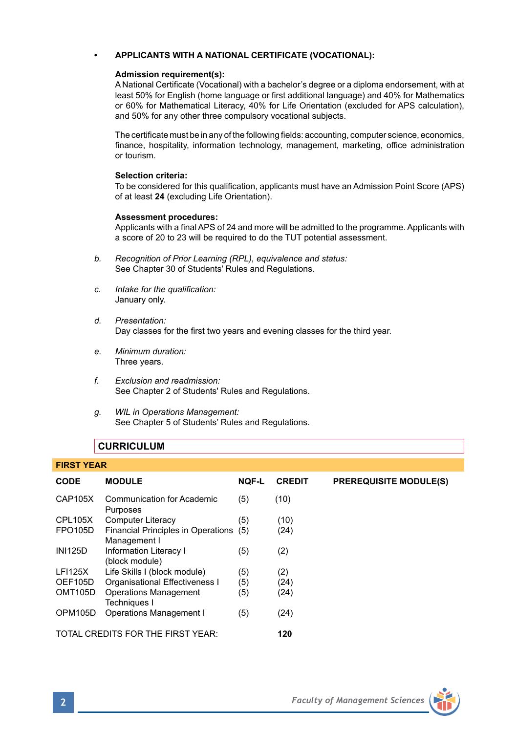## **• APPLICANTS WITH A NATIONAL CERTIFICATE (VOCATIONAL):**

### **Admission requirement(s):**

A National Certificate (Vocational) with a bachelor's degree or a diploma endorsement, with at least 50% for English (home language or first additional language) and 40% for Mathematics or 60% for Mathematical Literacy, 40% for Life Orientation (excluded for APS calculation), and 50% for any other three compulsory vocational subjects.

The certificate must be in any of the following fields: accounting, computer science, economics, finance, hospitality, information technology, management, marketing, office administration or tourism.

#### **Selection criteria:**

To be considered for this qualification, applicants must have an Admission Point Score (APS) of at least **24** (excluding Life Orientation).

### **Assessment procedures:**

Applicants with a final APS of 24 and more will be admitted to the programme. Applicants with a score of 20 to 23 will be required to do the TUT potential assessment.

- *b. Recognition of Prior Learning (RPL), equivalence and status:* See Chapter 30 of Students' Rules and Regulations.
- *c. Intake for the qualification:* January only.
- *d. Presentation:*  Day classes for the first two years and evening classes for the third year.
- *e. Minimum duration:* Three years.
- *f. Exclusion and readmission:* See Chapter 2 of Students' Rules and Regulations.
- *g. WIL in Operations Management:* See Chapter 5 of Students' Rules and Regulations.

## **CURRICULUM**

#### **FIRST YEAR**

| <b>CODE</b>          | <b>MODULE</b>                                          | <b>NOF-L</b> | <b>CREDIT</b> | <b>PREREQUISITE MODULE(S)</b> |
|----------------------|--------------------------------------------------------|--------------|---------------|-------------------------------|
| CAP105X              | Communication for Academic<br>Purposes                 | (5)          | (10)          |                               |
| CPL105X              | <b>Computer Literacy</b>                               | (5)          | (10)          |                               |
| <b>FPO105D</b>       | Financial Principles in Operations (5)<br>Management I |              | (24)          |                               |
| <b>INI125D</b>       | Information Literacy I<br>(block module)               | (5)          | (2)           |                               |
| <b>LFI125X</b>       | Life Skills I (block module)                           | (5)          | (2)           |                               |
| OEF105D              | Organisational Effectiveness I                         | (5)          | (24)          |                               |
| OMT <sub>105</sub> D | <b>Operations Management</b><br>Techniques I           | (5)          | (24)          |                               |
| OPM105D              | Operations Management I                                | (5)          | (24)          |                               |
|                      | TOTAL CREDITS FOR THE FIRST YEAR:                      |              | 120           |                               |

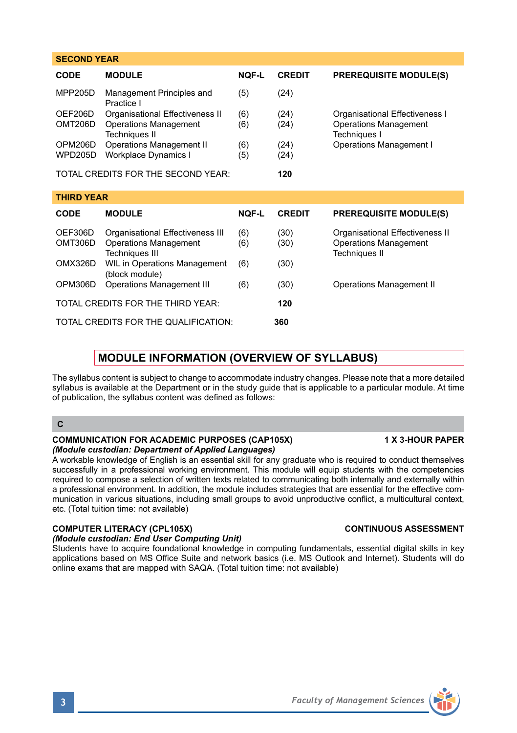| <b>Faculty of Management Sciences</b> |
|---------------------------------------|

| <b>SECOND YEAR</b>                          |                                                                                           |              |               |                                                                                         |  |  |
|---------------------------------------------|-------------------------------------------------------------------------------------------|--------------|---------------|-----------------------------------------------------------------------------------------|--|--|
| <b>CODE</b>                                 | <b>MODULE</b>                                                                             | <b>NOF-L</b> | <b>CREDIT</b> | <b>PREREQUISITE MODULE(S)</b>                                                           |  |  |
| <b>MPP205D</b>                              | Management Principles and<br>Practice I                                                   | (5)          | (24)          |                                                                                         |  |  |
| OEF206D<br>OMT206D                          | Organisational Effectiveness II<br><b>Operations Management</b><br><b>Techniques II</b>   | (6)<br>(6)   | (24)<br>(24)  | Organisational Effectiveness I<br><b>Operations Management</b><br>Techniques I          |  |  |
| OPM206D<br><b>WPD205D</b>                   | <b>Operations Management II</b><br>Workplace Dynamics I                                   | (6)<br>(5)   | (24)<br>(24)  | <b>Operations Management I</b>                                                          |  |  |
|                                             | TOTAL CREDITS FOR THE SECOND YEAR:                                                        |              | 120           |                                                                                         |  |  |
| <b>THIRD YEAR</b>                           |                                                                                           |              |               |                                                                                         |  |  |
| <b>CODE</b>                                 | <b>MODULE</b>                                                                             | <b>NOF-L</b> | <b>CREDIT</b> | <b>PREREQUISITE MODULE(S)</b>                                                           |  |  |
| OEF306D<br>OMT306D                          | Organisational Effectiveness III<br><b>Operations Management</b><br><b>Techniques III</b> | (6)<br>(6)   | (30)<br>(30)  | Organisational Effectiveness II<br><b>Operations Management</b><br><b>Techniques II</b> |  |  |
| OMX326D                                     | WIL in Operations Management<br>(block module)                                            | (6)          | (30)          |                                                                                         |  |  |
| OPM306D                                     | <b>Operations Management III</b>                                                          | (6)          | (30)          | Operations Management II                                                                |  |  |
|                                             | TOTAL CREDITS FOR THE THIRD YEAR:                                                         |              | 120           |                                                                                         |  |  |
| TOTAL CREDITS FOR THE QUALIFICATION:<br>360 |                                                                                           |              |               |                                                                                         |  |  |

## **MODULE INFORMATION (OVERVIEW OF SYLLABUS)**

The syllabus content is subject to change to accommodate industry changes. Please note that a more detailed syllabus is available at the Department or in the study guide that is applicable to a particular module. At time of publication, the syllabus content was defined as follows:

## **C**

## **COMMUNICATION FOR ACADEMIC PURPOSES (CAP105X) 1 X 3-HOUR PAPER** *(Module custodian: Department of Applied Languages)*

A workable knowledge of English is an essential skill for any graduate who is required to conduct themselves successfully in a professional working environment. This module will equip students with the competencies required to compose a selection of written texts related to communicating both internally and externally within a professional environment. In addition, the module includes strategies that are essential for the effective communication in various situations, including small groups to avoid unproductive conflict, a multicultural context, etc. (Total tuition time: not available)

## **COMPUTER LITERACY (CPL105X) CONTINUOUS ASSESSMENT**

## *(Module custodian: End User Computing Unit)*

Students have to acquire foundational knowledge in computing fundamentals, essential digital skills in key applications based on MS Office Suite and network basics (i.e. MS Outlook and Internet). Students will do online exams that are mapped with SAQA. (Total tuition time: not available)

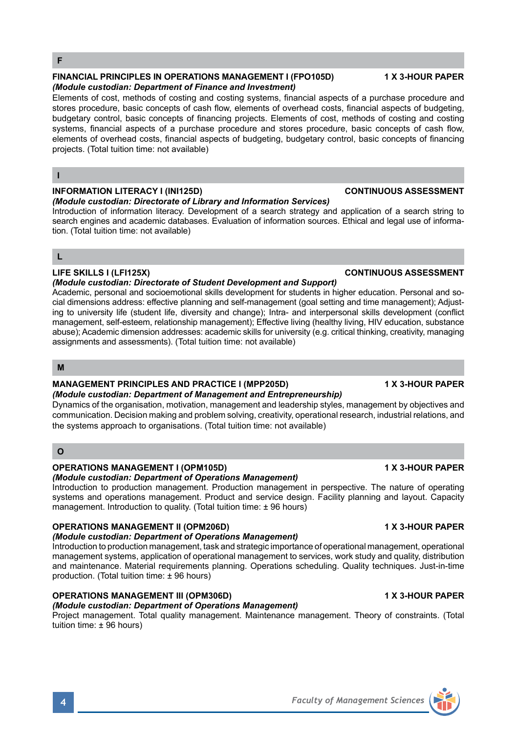### **FINANCIAL PRINCIPLES IN OPERATIONS MANAGEMENT I (FPO105D) 1 X 3-HOUR PAPER** *(Module custodian: Department of Finance and Investment)*

Elements of cost, methods of costing and costing systems, financial aspects of a purchase procedure and stores procedure, basic concepts of cash flow, elements of overhead costs, financial aspects of budgeting, budgetary control, basic concepts of financing projects. Elements of cost, methods of costing and costing systems, financial aspects of a purchase procedure and stores procedure, basic concepts of cash flow, elements of overhead costs, financial aspects of budgeting, budgetary control, basic concepts of financing projects. (Total tuition time: not available)

### **I**

## **INFORMATION LITERACY I (INI125D) CONTINUOUS ASSESSMENT**

#### *(Module custodian: Directorate of Library and Information Services)*

Introduction of information literacy. Development of a search strategy and application of a search string to search engines and academic databases. Evaluation of information sources. Ethical and legal use of information. (Total tuition time: not available)

## **L**

### *(Module custodian: Directorate of Student Development and Support)*  Academic, personal and socioemotional skills development for students in higher education. Personal and social dimensions address: effective planning and self-management (goal setting and time management); Adjusting to university life (student life, diversity and change); Intra- and interpersonal skills development (conflict management, self-esteem, relationship management); Effective living (healthy living, HIV education, substance

abuse); Academic dimension addresses: academic skills for university (e.g. critical thinking, creativity, managing assignments and assessments). (Total tuition time: not available)

## **M**

## **MANAGEMENT PRINCIPLES AND PRACTICE I (MPP205D) 1 X 3-HOUR PAPER**

*(Module custodian: Department of Management and Entrepreneurship)* Dynamics of the organisation, motivation, management and leadership styles, management by objectives and communication. Decision making and problem solving, creativity, operational research, industrial relations, and the systems approach to organisations. (Total tuition time: not available)

## **O**

## **OPERATIONS MANAGEMENT I (OPM105D) 1 X 3-HOUR PAPER**

*(Module custodian: Department of Operations Management)*

Introduction to production management. Production management in perspective. The nature of operating systems and operations management. Product and service design. Facility planning and layout. Capacity management. Introduction to quality. (Total tuition time: ± 96 hours)

## **OPERATIONS MANAGEMENT II (OPM206D) 1 X 3-HOUR PAPER**

## *(Module custodian: Department of Operations Management)*

Introduction to production management, task and strategic importance of operational management, operational management systems, application of operational management to services, work study and quality, distribution and maintenance. Material requirements planning. Operations scheduling. Quality techniques. Just-in-time production. (Total tuition time: ± 96 hours)

## **OPERATIONS MANAGEMENT III (OPM306D) 1 X 3-HOUR PAPER**

## *(Module custodian: Department of Operations Management)*

Project management. Total quality management. Maintenance management. Theory of constraints. (Total tuition time: ± 96 hours)

## **LIFE SKILLS I (LFI125X) CONTINUOUS ASSESSMENT**